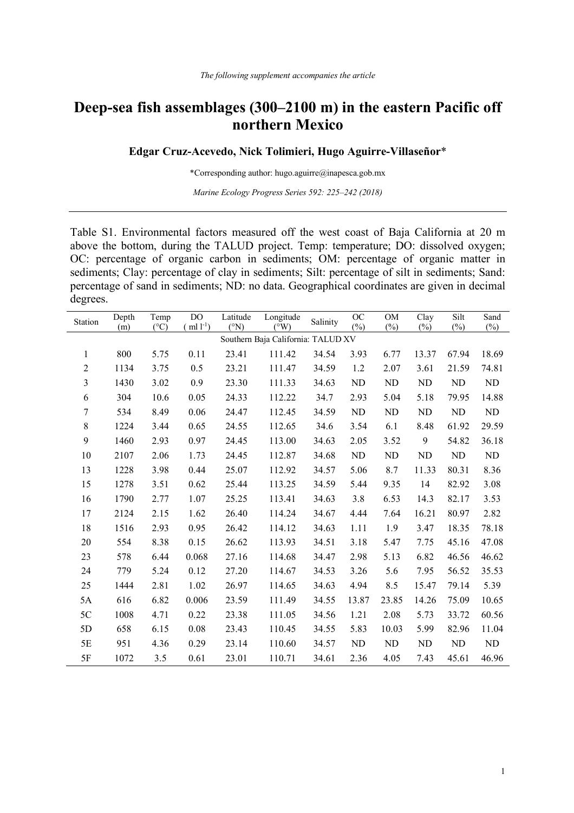## **Deep-sea fish assemblages (300–2100 m) in the eastern Pacific off northern Mexico**

## **Edgar Cruz-Acevedo, Nick Tolimieri, Hugo Aguirre-Villaseñor**\*

\*Corresponding author: hugo.aguirre@inapesca.gob.mx

*Marine Ecology Progress Series 592: 225–242 (2018)*

Table S1. Environmental factors measured off the west coast of Baja California at 20 m above the bottom, during the TALUD project. Temp: temperature; DO: dissolved oxygen; OC: percentage of organic carbon in sediments; OM: percentage of organic matter in sediments; Clay: percentage of clay in sediments; Silt: percentage of silt in sediments; Sand: percentage of sand in sediments; ND: no data. Geographical coordinates are given in decimal degrees.

| <b>Station</b>                     | Depth | Temp          | DO            | Latitude              | Longitude                  | Salinity | <b>OC</b> | <b>OM</b> | Clay   | Silt   | Sand       |
|------------------------------------|-------|---------------|---------------|-----------------------|----------------------------|----------|-----------|-----------|--------|--------|------------|
|                                    | (m)   | $(^{\circ}C)$ | ml $l^{-1}$ ) | $({}^{\circ}{\rm N})$ | $\overline{({}^{\circ}W)}$ |          | $(\%)$    | $(\%)$    | $(\%)$ | $(\%)$ | $(\%)$     |
| Southern Baja California: TALUD XV |       |               |               |                       |                            |          |           |           |        |        |            |
| 1                                  | 800   | 5.75          | 0.11          | 23.41                 | 111.42                     | 34.54    | 3.93      | 6.77      | 13.37  | 67.94  | 18.69      |
| $\sqrt{2}$                         | 1134  | 3.75          | 0.5           | 23.21                 | 111.47                     | 34.59    | 1.2       | 2.07      | 3.61   | 21.59  | 74.81      |
| 3                                  | 1430  | 3.02          | 0.9           | 23.30                 | 111.33                     | 34.63    | <b>ND</b> | ND        | ND     | ND     | ND         |
| 6                                  | 304   | 10.6          | 0.05          | 24.33                 | 112.22                     | 34.7     | 2.93      | 5.04      | 5.18   | 79.95  | 14.88      |
| 7                                  | 534   | 8.49          | 0.06          | 24.47                 | 112.45                     | 34.59    | ND        | ND        | ND     | ND     | ${\rm ND}$ |
| $\,8\,$                            | 1224  | 3.44          | 0.65          | 24.55                 | 112.65                     | 34.6     | 3.54      | 6.1       | 8.48   | 61.92  | 29.59      |
| 9                                  | 1460  | 2.93          | 0.97          | 24.45                 | 113.00                     | 34.63    | 2.05      | 3.52      | 9      | 54.82  | 36.18      |
| 10                                 | 2107  | 2.06          | 1.73          | 24.45                 | 112.87                     | 34.68    | ND        | ND        | ND     | ND     | ND         |
| 13                                 | 1228  | 3.98          | 0.44          | 25.07                 | 112.92                     | 34.57    | 5.06      | 8.7       | 11.33  | 80.31  | 8.36       |
| 15                                 | 1278  | 3.51          | 0.62          | 25.44                 | 113.25                     | 34.59    | 5.44      | 9.35      | 14     | 82.92  | 3.08       |
| 16                                 | 1790  | 2.77          | 1.07          | 25.25                 | 113.41                     | 34.63    | 3.8       | 6.53      | 14.3   | 82.17  | 3.53       |
| 17                                 | 2124  | 2.15          | 1.62          | 26.40                 | 114.24                     | 34.67    | 4.44      | 7.64      | 16.21  | 80.97  | 2.82       |
| 18                                 | 1516  | 2.93          | 0.95          | 26.42                 | 114.12                     | 34.63    | 1.11      | 1.9       | 3.47   | 18.35  | 78.18      |
| 20                                 | 554   | 8.38          | 0.15          | 26.62                 | 113.93                     | 34.51    | 3.18      | 5.47      | 7.75   | 45.16  | 47.08      |
| 23                                 | 578   | 6.44          | 0.068         | 27.16                 | 114.68                     | 34.47    | 2.98      | 5.13      | 6.82   | 46.56  | 46.62      |
| 24                                 | 779   | 5.24          | 0.12          | 27.20                 | 114.67                     | 34.53    | 3.26      | 5.6       | 7.95   | 56.52  | 35.53      |
| 25                                 | 1444  | 2.81          | 1.02          | 26.97                 | 114.65                     | 34.63    | 4.94      | 8.5       | 15.47  | 79.14  | 5.39       |
| 5A                                 | 616   | 6.82          | 0.006         | 23.59                 | 111.49                     | 34.55    | 13.87     | 23.85     | 14.26  | 75.09  | 10.65      |
| 5C                                 | 1008  | 4.71          | 0.22          | 23.38                 | 111.05                     | 34.56    | 1.21      | 2.08      | 5.73   | 33.72  | 60.56      |
| 5D                                 | 658   | 6.15          | 0.08          | 23.43                 | 110.45                     | 34.55    | 5.83      | 10.03     | 5.99   | 82.96  | 11.04      |
| 5E                                 | 951   | 4.36          | 0.29          | 23.14                 | 110.60                     | 34.57    | ND        | $\rm ND$  | ND     | ND     | ND         |
| 5F                                 | 1072  | 3.5           | 0.61          | 23.01                 | 110.71                     | 34.61    | 2.36      | 4.05      | 7.43   | 45.61  | 46.96      |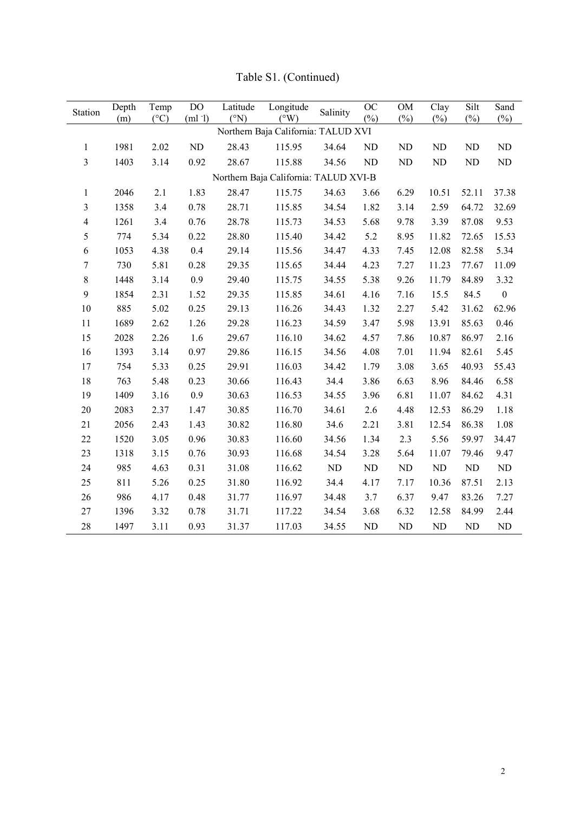| Station                               | Depth | Temp          | DO     | Latitude | Longitude     | Salinity | OC       | OM         | Clay      | Silt   | Sand             |
|---------------------------------------|-------|---------------|--------|----------|---------------|----------|----------|------------|-----------|--------|------------------|
|                                       | (m)   | $(^{\circ}C)$ | (ml 1) | (°N)     | $(^{\circ}W)$ |          | $(\%)$   | $(\%)$     | $(\%)$    | $(\%)$ | $(\%)$           |
| Northern Baja California: TALUD XVI   |       |               |        |          |               |          |          |            |           |        |                  |
| $\mathbf{1}$                          | 1981  | 2.02          | ND     | 28.43    | 115.95        | 34.64    | $\rm ND$ | $\rm ND$   | ND        | ND     | ND               |
| 3                                     | 1403  | 3.14          | 0.92   | 28.67    | 115.88        | 34.56    | $\rm ND$ | ${\rm ND}$ | ND        | ND     | ${\rm ND}$       |
| Northern Baja California: TALUD XVI-B |       |               |        |          |               |          |          |            |           |        |                  |
| $\mathbf{1}$                          | 2046  | 2.1           | 1.83   | 28.47    | 115.75        | 34.63    | 3.66     | 6.29       | 10.51     | 52.11  | 37.38            |
| 3                                     | 1358  | 3.4           | 0.78   | 28.71    | 115.85        | 34.54    | 1.82     | 3.14       | 2.59      | 64.72  | 32.69            |
| $\overline{\mathbf{4}}$               | 1261  | 3.4           | 0.76   | 28.78    | 115.73        | 34.53    | 5.68     | 9.78       | 3.39      | 87.08  | 9.53             |
| 5                                     | 774   | 5.34          | 0.22   | 28.80    | 115.40        | 34.42    | 5.2      | 8.95       | 11.82     | 72.65  | 15.53            |
| 6                                     | 1053  | 4.38          | 0.4    | 29.14    | 115.56        | 34.47    | 4.33     | 7.45       | 12.08     | 82.58  | 5.34             |
| 7                                     | 730   | 5.81          | 0.28   | 29.35    | 115.65        | 34.44    | 4.23     | 7.27       | 11.23     | 77.67  | 11.09            |
| 8                                     | 1448  | 3.14          | 0.9    | 29.40    | 115.75        | 34.55    | 5.38     | 9.26       | 11.79     | 84.89  | 3.32             |
| 9                                     | 1854  | 2.31          | 1.52   | 29.35    | 115.85        | 34.61    | 4.16     | 7.16       | 15.5      | 84.5   | $\boldsymbol{0}$ |
| 10                                    | 885   | 5.02          | 0.25   | 29.13    | 116.26        | 34.43    | 1.32     | 2.27       | 5.42      | 31.62  | 62.96            |
| 11                                    | 1689  | 2.62          | 1.26   | 29.28    | 116.23        | 34.59    | 3.47     | 5.98       | 13.91     | 85.63  | 0.46             |
| 15                                    | 2028  | 2.26          | 1.6    | 29.67    | 116.10        | 34.62    | 4.57     | 7.86       | 10.87     | 86.97  | 2.16             |
| 16                                    | 1393  | 3.14          | 0.97   | 29.86    | 116.15        | 34.56    | 4.08     | 7.01       | 11.94     | 82.61  | 5.45             |
| 17                                    | 754   | 5.33          | 0.25   | 29.91    | 116.03        | 34.42    | 1.79     | 3.08       | 3.65      | 40.93  | 55.43            |
| 18                                    | 763   | 5.48          | 0.23   | 30.66    | 116.43        | 34.4     | 3.86     | 6.63       | 8.96      | 84.46  | 6.58             |
| 19                                    | 1409  | 3.16          | 0.9    | 30.63    | 116.53        | 34.55    | 3.96     | 6.81       | 11.07     | 84.62  | 4.31             |
| 20                                    | 2083  | 2.37          | 1.47   | 30.85    | 116.70        | 34.61    | 2.6      | 4.48       | 12.53     | 86.29  | 1.18             |
| 21                                    | 2056  | 2.43          | 1.43   | 30.82    | 116.80        | 34.6     | 2.21     | 3.81       | 12.54     | 86.38  | 1.08             |
| 22                                    | 1520  | 3.05          | 0.96   | 30.83    | 116.60        | 34.56    | 1.34     | 2.3        | 5.56      | 59.97  | 34.47            |
| 23                                    | 1318  | 3.15          | 0.76   | 30.93    | 116.68        | 34.54    | 3.28     | 5.64       | 11.07     | 79.46  | 9.47             |
| 24                                    | 985   | 4.63          | 0.31   | 31.08    | 116.62        | ND       | $\rm ND$ | ND         | ND        | ND     | $\rm ND$         |
| 25                                    | 811   | 5.26          | 0.25   | 31.80    | 116.92        | 34.4     | 4.17     | 7.17       | 10.36     | 87.51  | 2.13             |
| 26                                    | 986   | 4.17          | 0.48   | 31.77    | 116.97        | 34.48    | 3.7      | 6.37       | 9.47      | 83.26  | 7.27             |
| 27                                    | 1396  | 3.32          | 0.78   | 31.71    | 117.22        | 34.54    | 3.68     | 6.32       | 12.58     | 84.99  | 2.44             |
| 28                                    | 1497  | 3.11          | 0.93   | 31.37    | 117.03        | 34.55    | $\rm ND$ | ND         | <b>ND</b> | ND     | $\rm ND$         |

Table S1. (Continued)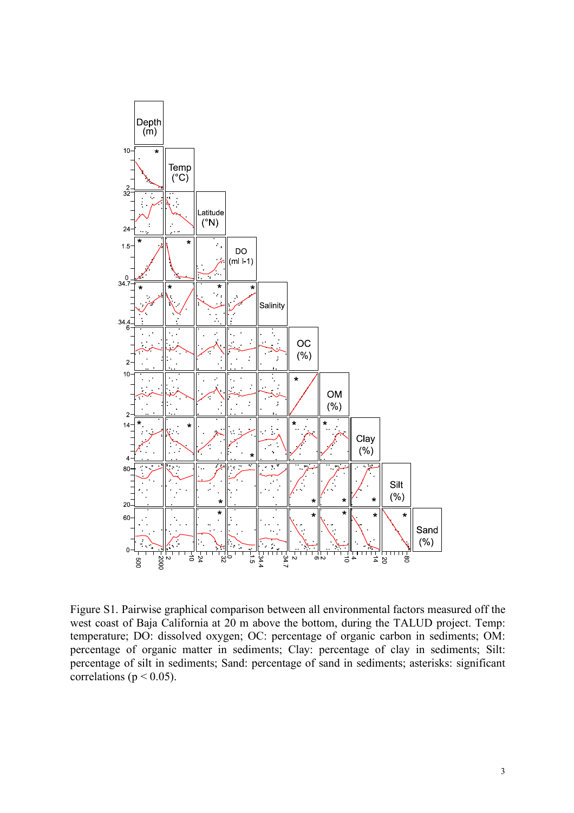

Figure S1. Pairwise graphical comparison between all environmental factors measured off the west coast of Baja California at 20 m above the bottom, during the TALUD project. Temp: temperature; DO: dissolved oxygen; OC: percentage of organic carbon in sediments; OM: percentage of organic matter in sediments; Clay: percentage of clay in sediments; Silt: percentage of silt in sediments; Sand: percentage of sand in sediments; asterisks: significant correlations ( $p < 0.05$ ).